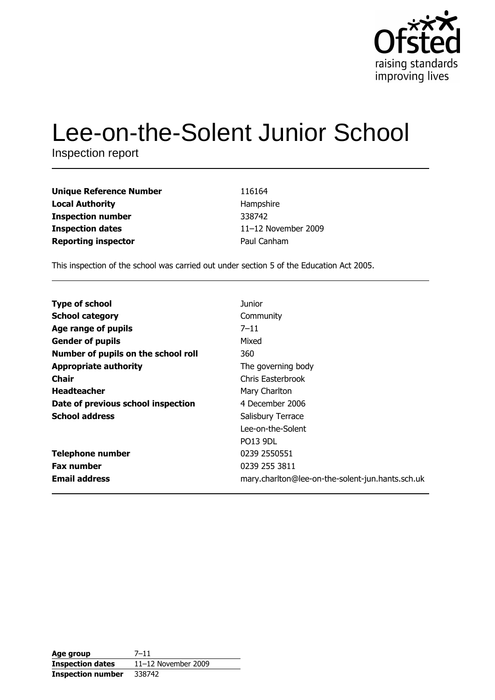

# Lee-on-the-Solent Junior School

Inspection report

| <b>Unique Reference Number</b> | 116164              |
|--------------------------------|---------------------|
| <b>Local Authority</b>         | Hampshire           |
| <b>Inspection number</b>       | 338742              |
| <b>Inspection dates</b>        | 11-12 November 2009 |
| <b>Reporting inspector</b>     | Paul Canham         |

This inspection of the school was carried out under section 5 of the Education Act 2005.

| <b>Type of school</b>               | Junior                                           |
|-------------------------------------|--------------------------------------------------|
| <b>School category</b>              | Community                                        |
| Age range of pupils                 | $7 - 11$                                         |
| <b>Gender of pupils</b>             | Mixed                                            |
| Number of pupils on the school roll | 360                                              |
| <b>Appropriate authority</b>        | The governing body                               |
| <b>Chair</b>                        | Chris Easterbrook                                |
| <b>Headteacher</b>                  | Mary Charlton                                    |
| Date of previous school inspection  | 4 December 2006                                  |
| <b>School address</b>               | Salisbury Terrace                                |
|                                     | Lee-on-the-Solent                                |
|                                     | <b>PO13 9DL</b>                                  |
| <b>Telephone number</b>             | 0239 2550551                                     |
| <b>Fax number</b>                   | 0239 255 3811                                    |
| <b>Email address</b>                | mary.charlton@lee-on-the-solent-jun.hants.sch.uk |

| Age group                | $7 - 11$              |
|--------------------------|-----------------------|
| <b>Inspection dates</b>  | $11-12$ November 2009 |
| <b>Inspection number</b> | 338742                |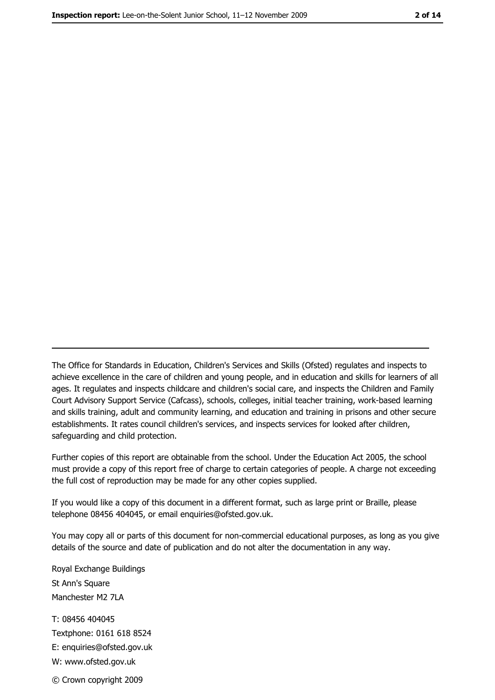The Office for Standards in Education, Children's Services and Skills (Ofsted) regulates and inspects to achieve excellence in the care of children and young people, and in education and skills for learners of all ages. It regulates and inspects childcare and children's social care, and inspects the Children and Family Court Advisory Support Service (Cafcass), schools, colleges, initial teacher training, work-based learning and skills training, adult and community learning, and education and training in prisons and other secure establishments. It rates council children's services, and inspects services for looked after children, safequarding and child protection.

Further copies of this report are obtainable from the school. Under the Education Act 2005, the school must provide a copy of this report free of charge to certain categories of people. A charge not exceeding the full cost of reproduction may be made for any other copies supplied.

If you would like a copy of this document in a different format, such as large print or Braille, please telephone 08456 404045, or email enquiries@ofsted.gov.uk.

You may copy all or parts of this document for non-commercial educational purposes, as long as you give details of the source and date of publication and do not alter the documentation in any way.

Royal Exchange Buildings St Ann's Square Manchester M2 7LA T: 08456 404045 Textphone: 0161 618 8524 E: enquiries@ofsted.gov.uk W: www.ofsted.gov.uk © Crown copyright 2009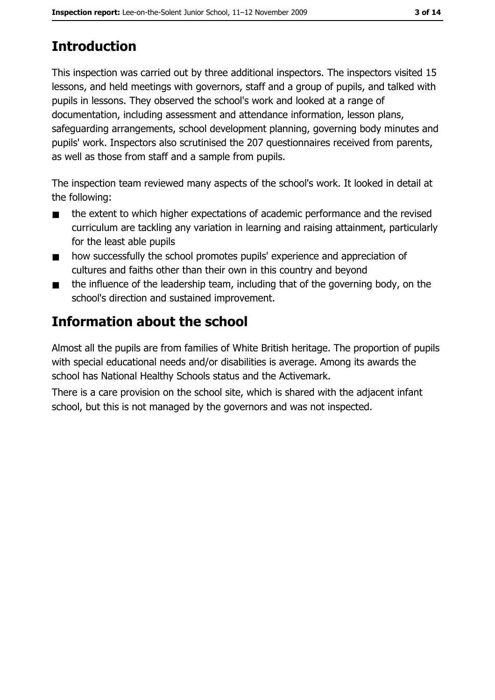# **Introduction**

This inspection was carried out by three additional inspectors. The inspectors visited 15 lessons, and held meetings with governors, staff and a group of pupils, and talked with pupils in lessons. They observed the school's work and looked at a range of documentation, including assessment and attendance information, lesson plans, safeguarding arrangements, school development planning, governing body minutes and pupils' work. Inspectors also scrutinised the 207 questionnaires received from parents, as well as those from staff and a sample from pupils.

The inspection team reviewed many aspects of the school's work. It looked in detail at the following:

- the extent to which higher expectations of academic performance and the revised  $\blacksquare$ curriculum are tackling any variation in learning and raising attainment, particularly for the least able pupils
- how successfully the school promotes pupils' experience and appreciation of  $\blacksquare$ cultures and faiths other than their own in this country and beyond
- the influence of the leadership team, including that of the governing body, on the  $\blacksquare$ school's direction and sustained improvement.

# Information about the school

Almost all the pupils are from families of White British heritage. The proportion of pupils with special educational needs and/or disabilities is average. Among its awards the school has National Healthy Schools status and the Activemark.

There is a care provision on the school site, which is shared with the adjacent infant school, but this is not managed by the governors and was not inspected.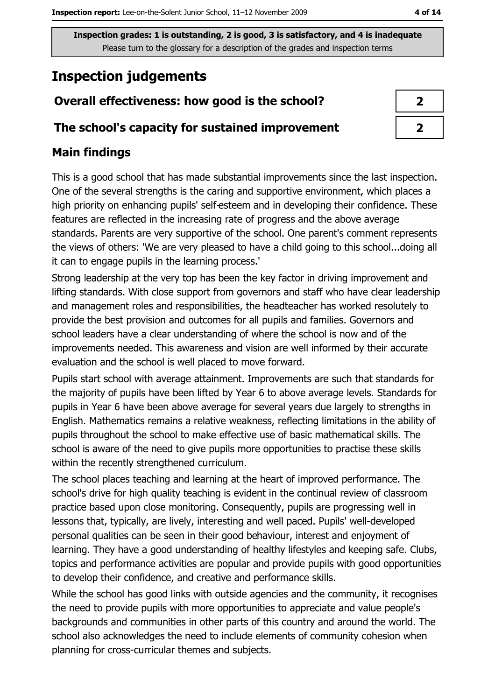# **Inspection judgements**

## Overall effectiveness: how good is the school?

#### The school's capacity for sustained improvement

## **Main findings**

This is a good school that has made substantial improvements since the last inspection. One of the several strengths is the caring and supportive environment, which places a high priority on enhancing pupils' self-esteem and in developing their confidence. These features are reflected in the increasing rate of progress and the above average standards. Parents are very supportive of the school. One parent's comment represents the views of others: 'We are very pleased to have a child going to this school...doing all it can to engage pupils in the learning process.'

Strong leadership at the very top has been the key factor in driving improvement and lifting standards. With close support from governors and staff who have clear leadership and management roles and responsibilities, the headteacher has worked resolutely to provide the best provision and outcomes for all pupils and families. Governors and school leaders have a clear understanding of where the school is now and of the improvements needed. This awareness and vision are well informed by their accurate evaluation and the school is well placed to move forward.

Pupils start school with average attainment. Improvements are such that standards for the majority of pupils have been lifted by Year 6 to above average levels. Standards for pupils in Year 6 have been above average for several years due largely to strengths in English. Mathematics remains a relative weakness, reflecting limitations in the ability of pupils throughout the school to make effective use of basic mathematical skills. The school is aware of the need to give pupils more opportunities to practise these skills within the recently strengthened curriculum.

The school places teaching and learning at the heart of improved performance. The school's drive for high quality teaching is evident in the continual review of classroom practice based upon close monitoring. Consequently, pupils are progressing well in lessons that, typically, are lively, interesting and well paced. Pupils' well-developed personal qualities can be seen in their good behaviour, interest and enjoyment of learning. They have a good understanding of healthy lifestyles and keeping safe. Clubs, topics and performance activities are popular and provide pupils with good opportunities to develop their confidence, and creative and performance skills.

While the school has good links with outside agencies and the community, it recognises the need to provide pupils with more opportunities to appreciate and value people's backgrounds and communities in other parts of this country and around the world. The school also acknowledges the need to include elements of community cohesion when planning for cross-curricular themes and subjects.

| ◢ |
|---|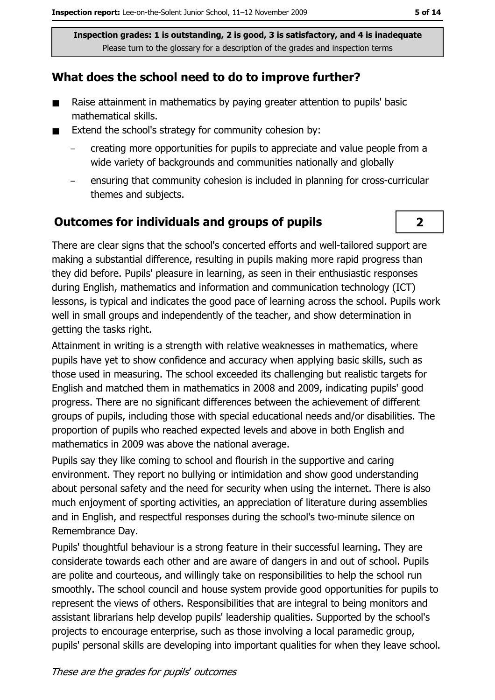#### What does the school need to do to improve further?

- $\blacksquare$ Raise attainment in mathematics by paying greater attention to pupils' basic mathematical skills.
- $\blacksquare$ Extend the school's strategy for community cohesion by:
	- creating more opportunities for pupils to appreciate and value people from a wide variety of backgrounds and communities nationally and globally
	- ensuring that community cohesion is included in planning for cross-curricular themes and subjects.

#### **Outcomes for individuals and groups of pupils**

There are clear signs that the school's concerted efforts and well-tailored support are making a substantial difference, resulting in pupils making more rapid progress than they did before. Pupils' pleasure in learning, as seen in their enthusiastic responses during English, mathematics and information and communication technology (ICT) lessons, is typical and indicates the good pace of learning across the school. Pupils work well in small groups and independently of the teacher, and show determination in getting the tasks right.

Attainment in writing is a strength with relative weaknesses in mathematics, where pupils have yet to show confidence and accuracy when applying basic skills, such as those used in measuring. The school exceeded its challenging but realistic targets for English and matched them in mathematics in 2008 and 2009, indicating pupils' good progress. There are no significant differences between the achievement of different groups of pupils, including those with special educational needs and/or disabilities. The proportion of pupils who reached expected levels and above in both English and mathematics in 2009 was above the national average.

Pupils say they like coming to school and flourish in the supportive and caring environment. They report no bullying or intimidation and show good understanding about personal safety and the need for security when using the internet. There is also much enjoyment of sporting activities, an appreciation of literature during assemblies and in English, and respectful responses during the school's two-minute silence on Remembrance Day.

Pupils' thoughtful behaviour is a strong feature in their successful learning. They are considerate towards each other and are aware of dangers in and out of school. Pupils are polite and courteous, and willingly take on responsibilities to help the school run smoothly. The school council and house system provide good opportunities for pupils to represent the views of others. Responsibilities that are integral to being monitors and assistant librarians help develop pupils' leadership qualities. Supported by the school's projects to encourage enterprise, such as those involving a local paramedic group, pupils' personal skills are developing into important qualities for when they leave school.

 $2<sup>1</sup>$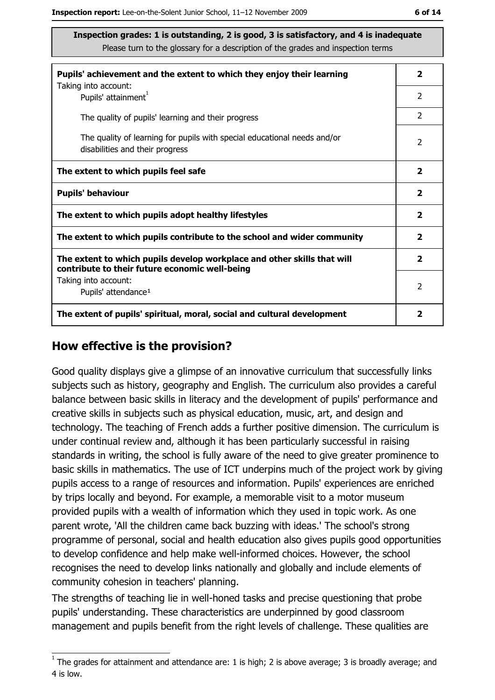| Pupils' achievement and the extent to which they enjoy their learning                                                     |               |
|---------------------------------------------------------------------------------------------------------------------------|---------------|
| Taking into account:<br>Pupils' attainment <sup>1</sup>                                                                   | 2             |
| The quality of pupils' learning and their progress                                                                        | 2             |
| The quality of learning for pupils with special educational needs and/or<br>disabilities and their progress               |               |
| The extent to which pupils feel safe                                                                                      |               |
| <b>Pupils' behaviour</b>                                                                                                  |               |
| The extent to which pupils adopt healthy lifestyles                                                                       |               |
| The extent to which pupils contribute to the school and wider community                                                   |               |
| The extent to which pupils develop workplace and other skills that will<br>contribute to their future economic well-being |               |
| Taking into account:<br>Pupils' attendance <sup>1</sup>                                                                   | $\mathcal{P}$ |
| The extent of pupils' spiritual, moral, social and cultural development                                                   |               |

#### How effective is the provision?

Good quality displays give a glimpse of an innovative curriculum that successfully links subjects such as history, geography and English. The curriculum also provides a careful balance between basic skills in literacy and the development of pupils' performance and creative skills in subjects such as physical education, music, art, and design and technology. The teaching of French adds a further positive dimension. The curriculum is under continual review and, although it has been particularly successful in raising standards in writing, the school is fully aware of the need to give greater prominence to basic skills in mathematics. The use of ICT underpins much of the project work by giving pupils access to a range of resources and information. Pupils' experiences are enriched by trips locally and beyond. For example, a memorable visit to a motor museum provided pupils with a wealth of information which they used in topic work. As one parent wrote, 'All the children came back buzzing with ideas.' The school's strong programme of personal, social and health education also gives pupils good opportunities to develop confidence and help make well-informed choices. However, the school recognises the need to develop links nationally and globally and include elements of community cohesion in teachers' planning.

The strengths of teaching lie in well-honed tasks and precise questioning that probe pupils' understanding. These characteristics are underpinned by good classroom management and pupils benefit from the right levels of challenge. These qualities are

 $1$  The arades for attainment and attendance are: 1 is high; 2 is above average; 3 is broadly average; and 4 is low.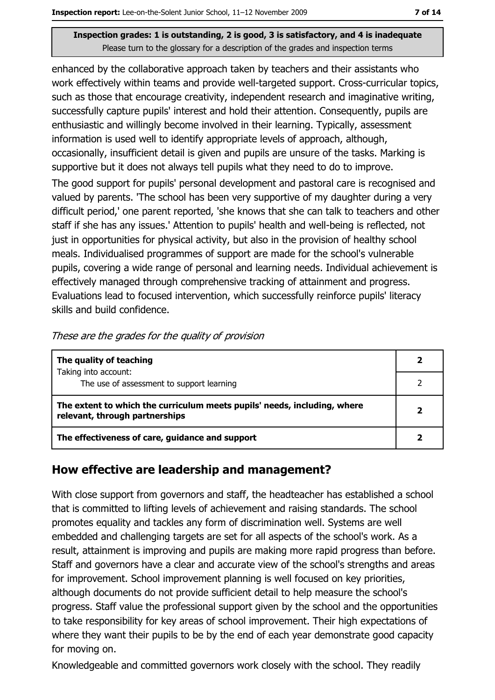enhanced by the collaborative approach taken by teachers and their assistants who work effectively within teams and provide well-targeted support. Cross-curricular topics, such as those that encourage creativity, independent research and imaginative writing, successfully capture pupils' interest and hold their attention. Consequently, pupils are enthusiastic and willingly become involved in their learning. Typically, assessment information is used well to identify appropriate levels of approach, although, occasionally, insufficient detail is given and pupils are unsure of the tasks. Marking is supportive but it does not always tell pupils what they need to do to improve.

The good support for pupils' personal development and pastoral care is recognised and valued by parents. The school has been very supportive of my daughter during a very difficult period,' one parent reported, 'she knows that she can talk to teachers and other staff if she has any issues.' Attention to pupils' health and well-being is reflected, not just in opportunities for physical activity, but also in the provision of healthy school meals. Individualised programmes of support are made for the school's vulnerable pupils, covering a wide range of personal and learning needs. Individual achievement is effectively managed through comprehensive tracking of attainment and progress. Evaluations lead to focused intervention, which successfully reinforce pupils' literacy skills and build confidence.

| The quality of teaching                                                                                    |  |
|------------------------------------------------------------------------------------------------------------|--|
| Taking into account:<br>The use of assessment to support learning                                          |  |
| The extent to which the curriculum meets pupils' needs, including, where<br>relevant, through partnerships |  |
| The effectiveness of care, guidance and support                                                            |  |

These are the grades for the quality of provision

### How effective are leadership and management?

With close support from governors and staff, the headteacher has established a school that is committed to lifting levels of achievement and raising standards. The school promotes equality and tackles any form of discrimination well. Systems are well embedded and challenging targets are set for all aspects of the school's work. As a result, attainment is improving and pupils are making more rapid progress than before. Staff and governors have a clear and accurate view of the school's strengths and areas for improvement. School improvement planning is well focused on key priorities, although documents do not provide sufficient detail to help measure the school's progress. Staff value the professional support given by the school and the opportunities to take responsibility for key areas of school improvement. Their high expectations of where they want their pupils to be by the end of each year demonstrate good capacity for moving on.

Knowledgeable and committed governors work closely with the school. They readily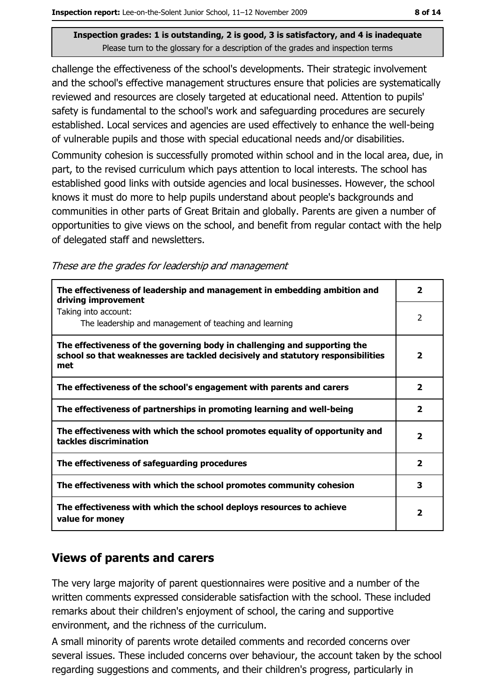challenge the effectiveness of the school's developments. Their strategic involvement and the school's effective management structures ensure that policies are systematically reviewed and resources are closely targeted at educational need. Attention to pupils' safety is fundamental to the school's work and safeguarding procedures are securely established. Local services and agencies are used effectively to enhance the well-being of vulnerable pupils and those with special educational needs and/or disabilities.

Community cohesion is successfully promoted within school and in the local area, due, in part, to the revised curriculum which pays attention to local interests. The school has established good links with outside agencies and local businesses. However, the school knows it must do more to help pupils understand about people's backgrounds and communities in other parts of Great Britain and globally. Parents are given a number of opportunities to give views on the school, and benefit from regular contact with the help of delegated staff and newsletters.

These are the grades for leadership and management

| The effectiveness of leadership and management in embedding ambition and<br>driving improvement                                                                     | $\mathbf{2}$            |
|---------------------------------------------------------------------------------------------------------------------------------------------------------------------|-------------------------|
| Taking into account:<br>The leadership and management of teaching and learning                                                                                      | $\overline{2}$          |
| The effectiveness of the governing body in challenging and supporting the<br>school so that weaknesses are tackled decisively and statutory responsibilities<br>met | $\overline{\mathbf{2}}$ |
| The effectiveness of the school's engagement with parents and carers                                                                                                | $\mathbf{2}$            |
| The effectiveness of partnerships in promoting learning and well-being                                                                                              | 2                       |
| The effectiveness with which the school promotes equality of opportunity and<br>tackles discrimination                                                              | $\overline{\mathbf{2}}$ |
| The effectiveness of safeguarding procedures                                                                                                                        | $\overline{2}$          |
| The effectiveness with which the school promotes community cohesion                                                                                                 | 3                       |
| The effectiveness with which the school deploys resources to achieve<br>value for money                                                                             |                         |

#### **Views of parents and carers**

The very large majority of parent questionnaires were positive and a number of the written comments expressed considerable satisfaction with the school. These included remarks about their children's enjoyment of school, the caring and supportive environment, and the richness of the curriculum.

A small minority of parents wrote detailed comments and recorded concerns over several issues. These included concerns over behaviour, the account taken by the school regarding suggestions and comments, and their children's progress, particularly in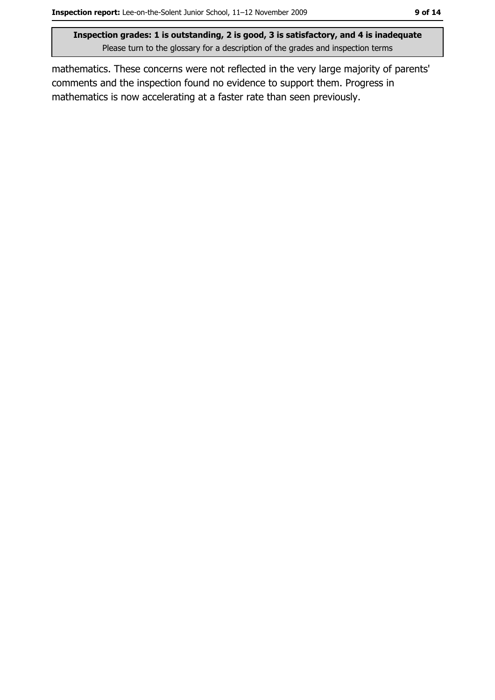mathematics. These concerns were not reflected in the very large majority of parents' comments and the inspection found no evidence to support them. Progress in mathematics is now accelerating at a faster rate than seen previously.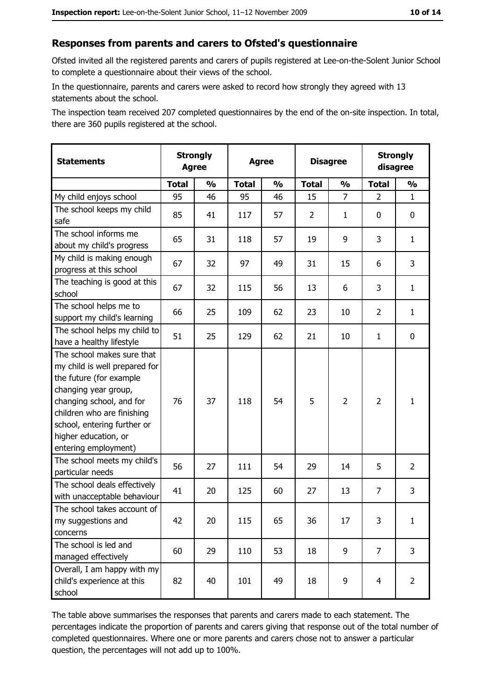#### Responses from parents and carers to Ofsted's questionnaire

Ofsted invited all the registered parents and carers of pupils registered at Lee-on-the-Solent Junior School to complete a questionnaire about their views of the school.

In the questionnaire, parents and carers were asked to record how strongly they agreed with 13 statements about the school.

The inspection team received 207 completed questionnaires by the end of the on-site inspection. In total, there are 360 pupils registered at the school.

| <b>Statements</b>                                                                                                                                                                                                                                       | <b>Strongly</b><br><b>Agree</b> |               | <b>Agree</b> |               | <b>Disagree</b> |                | <b>Strongly</b><br>disagree |                |
|---------------------------------------------------------------------------------------------------------------------------------------------------------------------------------------------------------------------------------------------------------|---------------------------------|---------------|--------------|---------------|-----------------|----------------|-----------------------------|----------------|
|                                                                                                                                                                                                                                                         | <b>Total</b>                    | $\frac{0}{0}$ | <b>Total</b> | $\frac{0}{0}$ | <b>Total</b>    | $\frac{1}{2}$  | <b>Total</b>                | $\frac{1}{2}$  |
| My child enjoys school                                                                                                                                                                                                                                  | 95                              | 46            | 95           | 46            | 15              | $\overline{7}$ | $\overline{2}$              | $\mathbf{1}$   |
| The school keeps my child<br>safe                                                                                                                                                                                                                       | 85                              | 41            | 117          | 57            | $\overline{2}$  | 1              | 0                           | $\mathbf 0$    |
| The school informs me<br>about my child's progress                                                                                                                                                                                                      | 65                              | 31            | 118          | 57            | 19              | 9              | 3                           | $\mathbf{1}$   |
| My child is making enough<br>progress at this school                                                                                                                                                                                                    | 67                              | 32            | 97           | 49            | 31              | 15             | 6                           | 3              |
| The teaching is good at this<br>school                                                                                                                                                                                                                  | 67                              | 32            | 115          | 56            | 13              | 6              | 3                           | $\mathbf{1}$   |
| The school helps me to<br>support my child's learning                                                                                                                                                                                                   | 66                              | 25            | 109          | 62            | 23              | 10             | $\overline{2}$              | $\mathbf{1}$   |
| The school helps my child to<br>have a healthy lifestyle                                                                                                                                                                                                | 51                              | 25            | 129          | 62            | 21              | 10             | 1                           | $\mathbf 0$    |
| The school makes sure that<br>my child is well prepared for<br>the future (for example<br>changing year group,<br>changing school, and for<br>children who are finishing<br>school, entering further or<br>higher education, or<br>entering employment) | 76                              | 37            | 118          | 54            | 5               | $\overline{2}$ | $\overline{2}$              | $\mathbf{1}$   |
| The school meets my child's<br>particular needs                                                                                                                                                                                                         | 56                              | 27            | 111          | 54            | 29              | 14             | 5                           | $\overline{2}$ |
| The school deals effectively<br>with unacceptable behaviour                                                                                                                                                                                             | 41                              | 20            | 125          | 60            | 27              | 13             | $\overline{7}$              | 3              |
| The school takes account of<br>my suggestions and<br>concerns                                                                                                                                                                                           | 42                              | 20            | 115          | 65            | 36              | 17             | 3                           | $\mathbf{1}$   |
| The school is led and<br>managed effectively                                                                                                                                                                                                            | 60                              | 29            | 110          | 53            | 18              | 9              | $\overline{7}$              | 3              |
| Overall, I am happy with my<br>child's experience at this<br>school                                                                                                                                                                                     | 82                              | 40            | 101          | 49            | 18              | 9              | $\overline{4}$              | $\overline{2}$ |

The table above summarises the responses that parents and carers made to each statement. The percentages indicate the proportion of parents and carers giving that response out of the total number of completed questionnaires. Where one or more parents and carers chose not to answer a particular question, the percentages will not add up to 100%.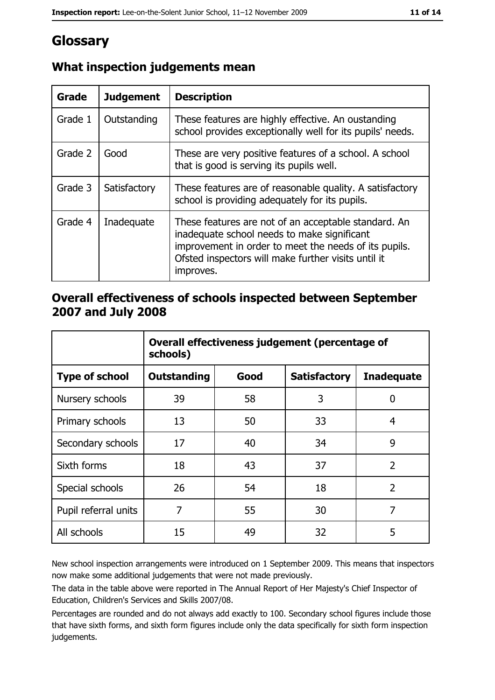## Glossary

| Grade   | <b>Judgement</b> | <b>Description</b>                                                                                                                                                                                                               |  |
|---------|------------------|----------------------------------------------------------------------------------------------------------------------------------------------------------------------------------------------------------------------------------|--|
| Grade 1 | Outstanding      | These features are highly effective. An oustanding<br>school provides exceptionally well for its pupils' needs.                                                                                                                  |  |
| Grade 2 | Good             | These are very positive features of a school. A school<br>that is good is serving its pupils well.                                                                                                                               |  |
| Grade 3 | Satisfactory     | These features are of reasonable quality. A satisfactory<br>school is providing adequately for its pupils.                                                                                                                       |  |
| Grade 4 | Inadequate       | These features are not of an acceptable standard. An<br>inadequate school needs to make significant<br>improvement in order to meet the needs of its pupils.<br>Ofsted inspectors will make further visits until it<br>improves. |  |

## What inspection judgements mean

#### Overall effectiveness of schools inspected between September 2007 and July 2008

|                       | Overall effectiveness judgement (percentage of<br>schools) |      |                     |                   |
|-----------------------|------------------------------------------------------------|------|---------------------|-------------------|
| <b>Type of school</b> | <b>Outstanding</b>                                         | Good | <b>Satisfactory</b> | <b>Inadequate</b> |
| Nursery schools       | 39                                                         | 58   | 3                   | 0                 |
| Primary schools       | 13                                                         | 50   | 33                  | 4                 |
| Secondary schools     | 17                                                         | 40   | 34                  | 9                 |
| Sixth forms           | 18                                                         | 43   | 37                  | $\overline{2}$    |
| Special schools       | 26                                                         | 54   | 18                  | $\overline{2}$    |
| Pupil referral units  | 7                                                          | 55   | 30                  | 7                 |
| All schools           | 15                                                         | 49   | 32                  | 5                 |

New school inspection arrangements were introduced on 1 September 2009. This means that inspectors now make some additional judgements that were not made previously.

The data in the table above were reported in The Annual Report of Her Majesty's Chief Inspector of Education, Children's Services and Skills 2007/08.

Percentages are rounded and do not always add exactly to 100. Secondary school figures include those that have sixth forms, and sixth form figures include only the data specifically for sixth form inspection judgements.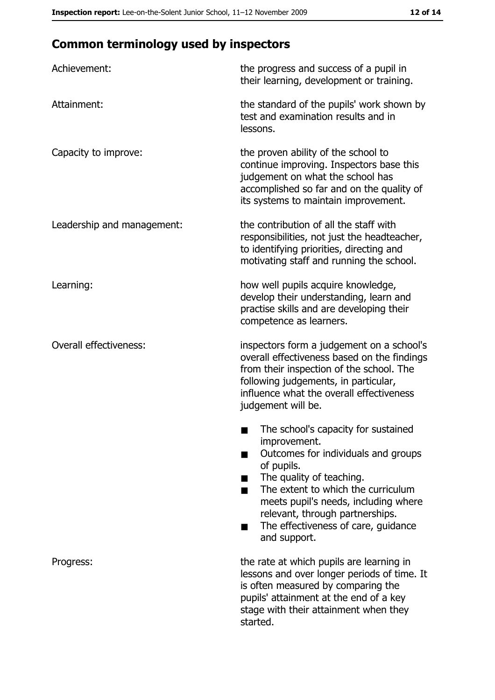## **Common terminology used by inspectors**

| Achievement:                  | the progress and success of a pupil in<br>their learning, development or training.                                                                                                                                                                                                                           |
|-------------------------------|--------------------------------------------------------------------------------------------------------------------------------------------------------------------------------------------------------------------------------------------------------------------------------------------------------------|
| Attainment:                   | the standard of the pupils' work shown by<br>test and examination results and in<br>lessons.                                                                                                                                                                                                                 |
| Capacity to improve:          | the proven ability of the school to<br>continue improving. Inspectors base this<br>judgement on what the school has<br>accomplished so far and on the quality of<br>its systems to maintain improvement.                                                                                                     |
| Leadership and management:    | the contribution of all the staff with<br>responsibilities, not just the headteacher,<br>to identifying priorities, directing and<br>motivating staff and running the school.                                                                                                                                |
| Learning:                     | how well pupils acquire knowledge,<br>develop their understanding, learn and<br>practise skills and are developing their<br>competence as learners.                                                                                                                                                          |
| <b>Overall effectiveness:</b> | inspectors form a judgement on a school's<br>overall effectiveness based on the findings<br>from their inspection of the school. The<br>following judgements, in particular,<br>influence what the overall effectiveness<br>judgement will be.                                                               |
|                               | The school's capacity for sustained<br>improvement.<br>Outcomes for individuals and groups<br>of pupils.<br>The quality of teaching.<br>The extent to which the curriculum<br>meets pupil's needs, including where<br>relevant, through partnerships.<br>The effectiveness of care, guidance<br>and support. |
| Progress:                     | the rate at which pupils are learning in<br>lessons and over longer periods of time. It<br>is often measured by comparing the<br>pupils' attainment at the end of a key<br>stage with their attainment when they<br>started.                                                                                 |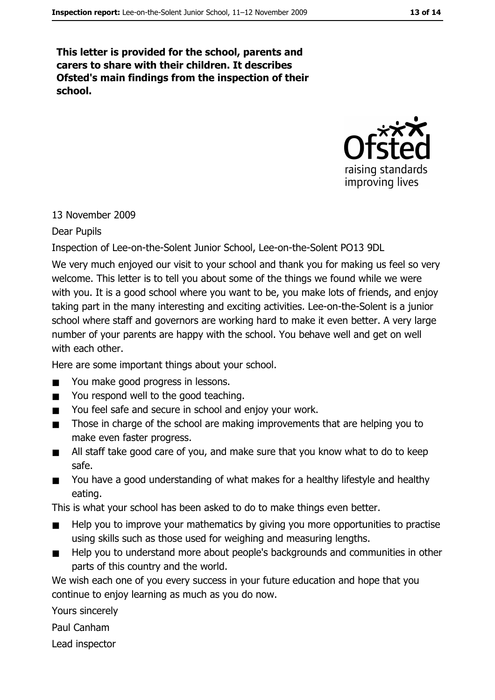This letter is provided for the school, parents and carers to share with their children. It describes Ofsted's main findings from the inspection of their school.



#### 13 November 2009

#### Dear Pupils

Inspection of Lee-on-the-Solent Junior School, Lee-on-the-Solent PO13 9DL

We very much enjoyed our visit to your school and thank you for making us feel so very welcome. This letter is to tell you about some of the things we found while we were with you. It is a good school where you want to be, you make lots of friends, and enjoy taking part in the many interesting and exciting activities. Lee-on-the-Solent is a junior school where staff and governors are working hard to make it even better. A very large number of your parents are happy with the school. You behave well and get on well with each other.

Here are some important things about your school.

- You make good progress in lessons.
- You respond well to the good teaching.  $\blacksquare$
- You feel safe and secure in school and enjoy your work.  $\blacksquare$
- Those in charge of the school are making improvements that are helping you to  $\blacksquare$ make even faster progress.
- All staff take good care of you, and make sure that you know what to do to keep  $\blacksquare$ safe.
- You have a good understanding of what makes for a healthy lifestyle and healthy  $\blacksquare$ eating.

This is what your school has been asked to do to make things even better.

- Help you to improve your mathematics by giving you more opportunities to practise  $\blacksquare$ using skills such as those used for weighing and measuring lengths.
- Help you to understand more about people's backgrounds and communities in other  $\blacksquare$ parts of this country and the world.

We wish each one of you every success in your future education and hope that you continue to enjoy learning as much as you do now.

Yours sincerely

Paul Canham

Lead inspector